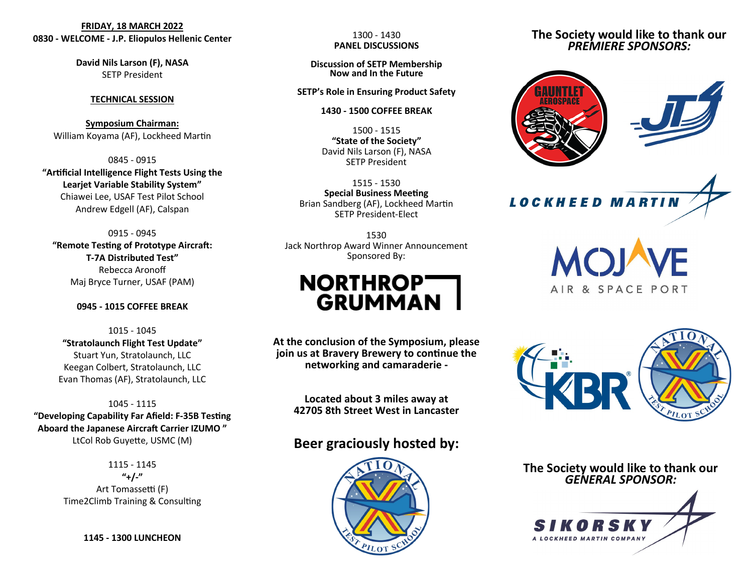# **FRIDAY, 18 MARCH 2022 0830 - WELCOME - J.P. Eliopulos Hellenic Center**

**David Nils Larson (F), NASA** SETP President

### **TECHNICAL SESSION**

**Symposium Chairman:** William Koyama (AF), Lockheed Martin

0845 - 0915 **"Artificial Intelligence Flight Tests Using the Learjet Variable Stability System"** Chiawei Lee, USAF Test Pilot School Andrew Edgell (AF), Calspan

0915 - 0945 **"Remote Testing of Prototype Aircraft: T-7A Distributed Test"** Rebecca Aronoff Maj Bryce Turner, USAF (PAM)

### **0945 - 1015 COFFEE BREAK**

1015 - 1045 **"Stratolaunch Flight Test Update"** Stuart Yun, Stratolaunch, LLC Keegan Colbert, Stratolaunch, LLC Evan Thomas (AF), Stratolaunch, LLC

1045 - 1115 **"Developing Capability Far Afield: F-35B Testing Aboard the Japanese Aircraft Carrier IZUMO "** LtCol Rob Guyette, USMC (M)

> 1115 - 1145 **"+/-"** Art Tomassetti (F) Time2Climb Training & Consulting

> > **1145 - 1300 LUNCHEON**

1300 - 1430 **PANEL DISCUSSIONS**

**Discussion of SETP Membership Now and In the Future**

### **SETP's Role in Ensuring Product Safety**

#### **1430 - 1500 COFFEE BREAK**

1500 - 1515 **"State of the Society"** David Nils Larson (F), NASA SETP President

1515 - 1530 **Special Business Meeting** Brian Sandberg (AF), Lockheed Martin SETP President-Elect

1530 Jack Northrop Award Winner Announcement Sponsored By:

# **NORTHROPT GRUMMAN**

**At the conclusion of the Symposium, please join us at Bravery Brewery to continue the networking and camaraderie -**

> **Located about 3 miles away at 42705 8th Street West in Lancaster**

# **Beer graciously hosted by:**



# **The Society would like to thank our**  *PREMIERE SPONSORS:*



**LOCKHEED MARTIN** 





**The Society would like to thank our**  *GENERAL SPONSOR:*